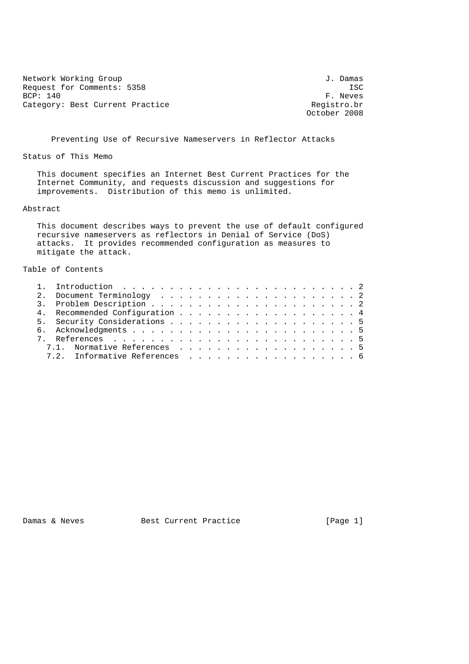Network Working Group 3. 2008 3. 2010 1. Damas Request for Comments: 5358 ISC<br>BCP: 140 F. Neves Category: Best Current Practice and Category: Best Current Practice Registro.br

F. Neves October 2008

Preventing Use of Recursive Nameservers in Reflector Attacks

Status of This Memo

 This document specifies an Internet Best Current Practices for the Internet Community, and requests discussion and suggestions for improvements. Distribution of this memo is unlimited.

## Abstract

 This document describes ways to prevent the use of default configured recursive nameservers as reflectors in Denial of Service (DoS) attacks. It provides recommended configuration as measures to mitigate the attack.

## Table of Contents

|  | 4. Recommended Configuration 4 |  |
|--|--------------------------------|--|
|  |                                |  |
|  |                                |  |
|  |                                |  |
|  | 7.1. Normative References 5    |  |
|  | 7.2. Informative References 6  |  |

Damas & Neves Best Current Practice [Page 1]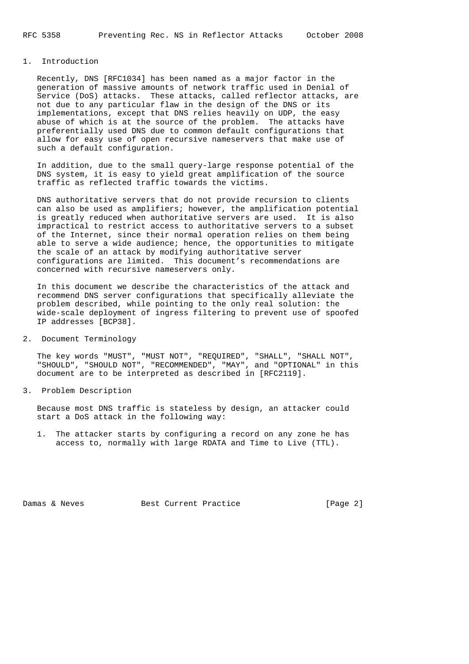## 1. Introduction

 Recently, DNS [RFC1034] has been named as a major factor in the generation of massive amounts of network traffic used in Denial of Service (DoS) attacks. These attacks, called reflector attacks, are not due to any particular flaw in the design of the DNS or its implementations, except that DNS relies heavily on UDP, the easy abuse of which is at the source of the problem. The attacks have preferentially used DNS due to common default configurations that allow for easy use of open recursive nameservers that make use of such a default configuration.

 In addition, due to the small query-large response potential of the DNS system, it is easy to yield great amplification of the source traffic as reflected traffic towards the victims.

 DNS authoritative servers that do not provide recursion to clients can also be used as amplifiers; however, the amplification potential is greatly reduced when authoritative servers are used. It is also impractical to restrict access to authoritative servers to a subset of the Internet, since their normal operation relies on them being able to serve a wide audience; hence, the opportunities to mitigate the scale of an attack by modifying authoritative server configurations are limited. This document's recommendations are concerned with recursive nameservers only.

 In this document we describe the characteristics of the attack and recommend DNS server configurations that specifically alleviate the problem described, while pointing to the only real solution: the wide-scale deployment of ingress filtering to prevent use of spoofed IP addresses [BCP38].

2. Document Terminology

 The key words "MUST", "MUST NOT", "REQUIRED", "SHALL", "SHALL NOT", "SHOULD", "SHOULD NOT", "RECOMMENDED", "MAY", and "OPTIONAL" in this document are to be interpreted as described in [RFC2119].

3. Problem Description

 Because most DNS traffic is stateless by design, an attacker could start a DoS attack in the following way:

 1. The attacker starts by configuring a record on any zone he has access to, normally with large RDATA and Time to Live (TTL).

Damas & Neves Best Current Practice [Page 2]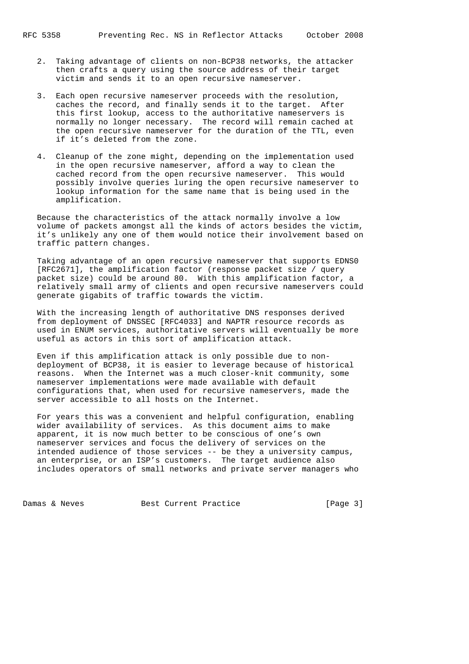- 2. Taking advantage of clients on non-BCP38 networks, the attacker then crafts a query using the source address of their target victim and sends it to an open recursive nameserver.
- 3. Each open recursive nameserver proceeds with the resolution, caches the record, and finally sends it to the target. After this first lookup, access to the authoritative nameservers is normally no longer necessary. The record will remain cached at the open recursive nameserver for the duration of the TTL, even if it's deleted from the zone.
- 4. Cleanup of the zone might, depending on the implementation used in the open recursive nameserver, afford a way to clean the cached record from the open recursive nameserver. This would possibly involve queries luring the open recursive nameserver to lookup information for the same name that is being used in the amplification.

 Because the characteristics of the attack normally involve a low volume of packets amongst all the kinds of actors besides the victim, it's unlikely any one of them would notice their involvement based on traffic pattern changes.

 Taking advantage of an open recursive nameserver that supports EDNS0 [RFC2671], the amplification factor (response packet size / query packet size) could be around 80. With this amplification factor, a relatively small army of clients and open recursive nameservers could generate gigabits of traffic towards the victim.

 With the increasing length of authoritative DNS responses derived from deployment of DNSSEC [RFC4033] and NAPTR resource records as used in ENUM services, authoritative servers will eventually be more useful as actors in this sort of amplification attack.

 Even if this amplification attack is only possible due to non deployment of BCP38, it is easier to leverage because of historical reasons. When the Internet was a much closer-knit community, some nameserver implementations were made available with default configurations that, when used for recursive nameservers, made the server accessible to all hosts on the Internet.

 For years this was a convenient and helpful configuration, enabling wider availability of services. As this document aims to make apparent, it is now much better to be conscious of one's own nameserver services and focus the delivery of services on the intended audience of those services -- be they a university campus, an enterprise, or an ISP's customers. The target audience also includes operators of small networks and private server managers who

Damas & Neves Best Current Practice [Page 3]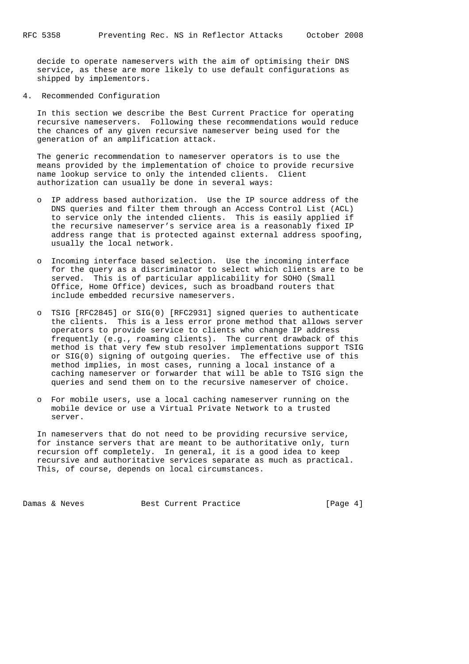decide to operate nameservers with the aim of optimising their DNS service, as these are more likely to use default configurations as shipped by implementors.

4. Recommended Configuration

 In this section we describe the Best Current Practice for operating recursive nameservers. Following these recommendations would reduce the chances of any given recursive nameserver being used for the generation of an amplification attack.

 The generic recommendation to nameserver operators is to use the means provided by the implementation of choice to provide recursive name lookup service to only the intended clients. Client authorization can usually be done in several ways:

- o IP address based authorization. Use the IP source address of the DNS queries and filter them through an Access Control List (ACL) to service only the intended clients. This is easily applied if the recursive nameserver's service area is a reasonably fixed IP address range that is protected against external address spoofing, usually the local network.
- o Incoming interface based selection. Use the incoming interface for the query as a discriminator to select which clients are to be served. This is of particular applicability for SOHO (Small Office, Home Office) devices, such as broadband routers that include embedded recursive nameservers.
- o TSIG [RFC2845] or SIG(0) [RFC2931] signed queries to authenticate the clients. This is a less error prone method that allows server operators to provide service to clients who change IP address frequently (e.g., roaming clients). The current drawback of this method is that very few stub resolver implementations support TSIG or SIG(0) signing of outgoing queries. The effective use of this method implies, in most cases, running a local instance of a caching nameserver or forwarder that will be able to TSIG sign the queries and send them on to the recursive nameserver of choice.
- o For mobile users, use a local caching nameserver running on the mobile device or use a Virtual Private Network to a trusted server.

 In nameservers that do not need to be providing recursive service, for instance servers that are meant to be authoritative only, turn recursion off completely. In general, it is a good idea to keep recursive and authoritative services separate as much as practical. This, of course, depends on local circumstances.

Damas & Neves Best Current Practice [Page 4]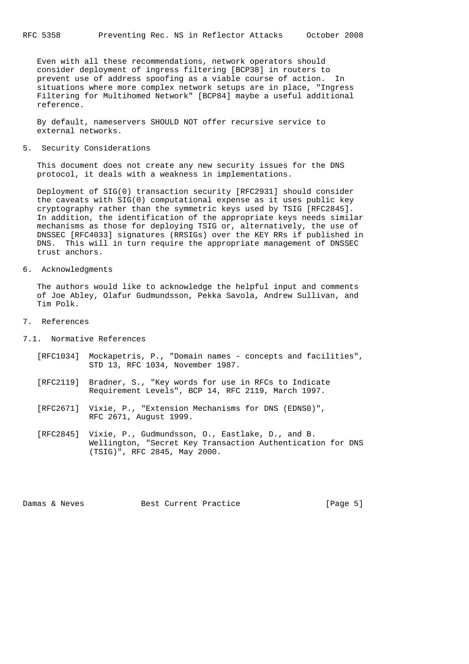Even with all these recommendations, network operators should consider deployment of ingress filtering [BCP38] in routers to prevent use of address spoofing as a viable course of action. In situations where more complex network setups are in place, "Ingress Filtering for Multihomed Network" [BCP84] maybe a useful additional reference.

 By default, nameservers SHOULD NOT offer recursive service to external networks.

5. Security Considerations

 This document does not create any new security issues for the DNS protocol, it deals with a weakness in implementations.

 Deployment of SIG(0) transaction security [RFC2931] should consider the caveats with SIG(0) computational expense as it uses public key cryptography rather than the symmetric keys used by TSIG [RFC2845]. In addition, the identification of the appropriate keys needs similar mechanisms as those for deploying TSIG or, alternatively, the use of DNSSEC [RFC4033] signatures (RRSIGs) over the KEY RRs if published in DNS. This will in turn require the appropriate management of DNSSEC trust anchors.

6. Acknowledgments

 The authors would like to acknowledge the helpful input and comments of Joe Abley, Olafur Gudmundsson, Pekka Savola, Andrew Sullivan, and Tim Polk.

- 7. References
- 7.1. Normative References
	- [RFC1034] Mockapetris, P., "Domain names concepts and facilities", STD 13, RFC 1034, November 1987.
	- [RFC2119] Bradner, S., "Key words for use in RFCs to Indicate Requirement Levels", BCP 14, RFC 2119, March 1997.
	- [RFC2671] Vixie, P., "Extension Mechanisms for DNS (EDNS0)", RFC 2671, August 1999.
	- [RFC2845] Vixie, P., Gudmundsson, O., Eastlake, D., and B. Wellington, "Secret Key Transaction Authentication for DNS (TSIG)", RFC 2845, May 2000.

Damas & Neves Best Current Practice [Page 5]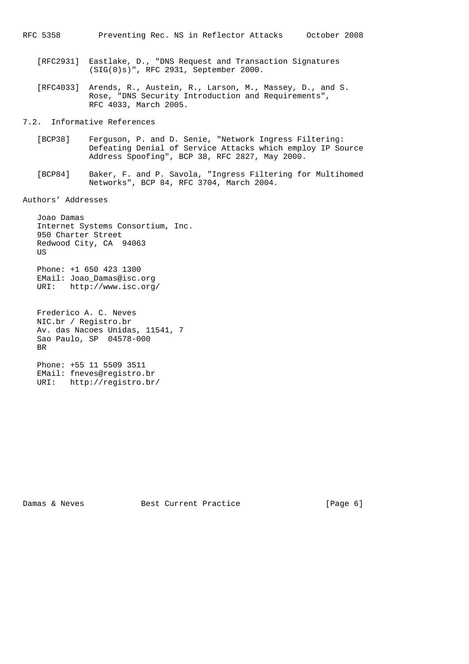- [RFC2931] Eastlake, D., "DNS Request and Transaction Signatures (SIG(0)s)", RFC 2931, September 2000.
- [RFC4033] Arends, R., Austein, R., Larson, M., Massey, D., and S. Rose, "DNS Security Introduction and Requirements", RFC 4033, March 2005.

7.2. Informative References

- [BCP38] Ferguson, P. and D. Senie, "Network Ingress Filtering: Defeating Denial of Service Attacks which employ IP Source Address Spoofing", BCP 38, RFC 2827, May 2000.
- [BCP84] Baker, F. and P. Savola, "Ingress Filtering for Multihomed Networks", BCP 84, RFC 3704, March 2004.

Authors' Addresses

 Joao Damas Internet Systems Consortium, Inc. 950 Charter Street Redwood City, CA 94063 US Phone: +1 650 423 1300 EMail: Joao\_Damas@isc.org URI: http://www.isc.org/

 Frederico A. C. Neves NIC.br / Registro.br Av. das Nacoes Unidas, 11541, 7 Sao Paulo, SP 04578-000 BR

 Phone: +55 11 5509 3511 EMail: fneves@registro.br URI: http://registro.br/

Damas & Neves Best Current Practice [Page 6]